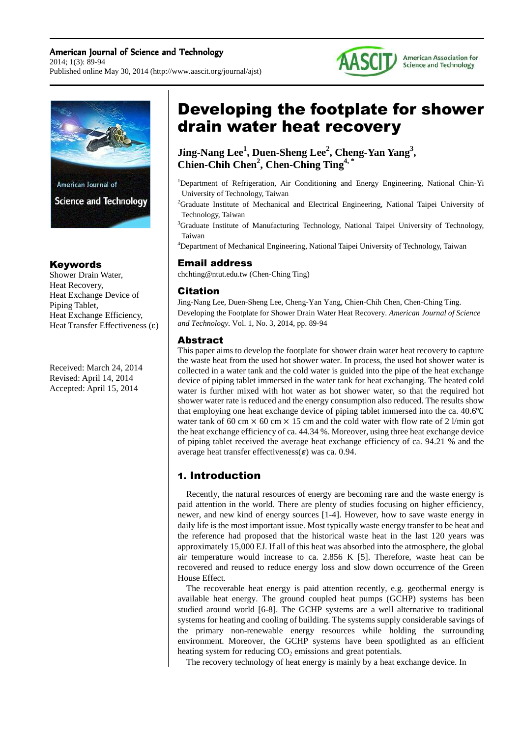#### American Journal of Science and Technology 2014; 1(3): 89-94 Published online May 30, 2014 (http://www.aascit.org/journal/ajst)





## Keywords

Shower Drain Water, Heat Recovery, Heat Exchange Device of Piping Tablet, Heat Exchange Efficiency, Heat Transfer Effectiveness  $(ε)$ 

Received: March 24, 2014 Revised: April 14, 2014 Accepted: April 15, 2014

# Developing the footplate for shower drain water heat recovery

**Jing-Nang Lee<sup>1</sup> , Duen-Sheng Lee<sup>2</sup> , Cheng-Yan Yang<sup>3</sup> , Chien-Chih Chen<sup>2</sup> , Chen-Ching Ting4, \***

- <sup>1</sup>Department of Refrigeration, Air Conditioning and Energy Engineering, National Chin-Yi University of Technology, Taiwan
- <sup>2</sup>Graduate Institute of Mechanical and Electrical Engineering, National Taipei University of Technology, Taiwan
- <sup>3</sup>Graduate Institute of Manufacturing Technology, National Taipei University of Technology, Taiwan

<sup>4</sup>Department of Mechanical Engineering, National Taipei University of Technology, Taiwan

## Email address

chchting@ntut.edu.tw (Chen-Ching Ting)

## Citation

Jing-Nang Lee, Duen-Sheng Lee, Cheng-Yan Yang, Chien-Chih Chen, Chen-Ching Ting. Developing the Footplate for Shower Drain Water Heat Recovery. *American Journal of Science and Technology.* Vol. 1, No. 3, 2014, pp. 89-94

## Abstract

This paper aims to develop the footplate for shower drain water heat recovery to capture the waste heat from the used hot shower water. In process, the used hot shower water is collected in a water tank and the cold water is guided into the pipe of the heat exchange device of piping tablet immersed in the water tank for heat exchanging. The heated cold water is further mixed with hot water as hot shower water, so that the required hot shower water rate is reduced and the energy consumption also reduced. The results show that employing one heat exchange device of piping tablet immersed into the ca. 40.6℃ water tank of 60 cm  $\times$  60 cm  $\times$  15 cm and the cold water with flow rate of 2 l/min got the heat exchange efficiency of ca. 44.34 %. Moreover, using three heat exchange device of piping tablet received the average heat exchange efficiency of ca. 94.21 % and the average heat transfer effectiveness( $\varepsilon$ ) was ca. 0.94.

## 1. Introduction

Recently, the natural resources of energy are becoming rare and the waste energy is paid attention in the world. There are plenty of studies focusing on higher efficiency, newer, and new kind of energy sources [1-4]. However, how to save waste energy in daily life is the most important issue. Most typically waste energy transfer to be heat and the reference had proposed that the historical waste heat in the last 120 years was approximately 15,000 EJ. If all of this heat was absorbed into the atmosphere, the global air temperature would increase to ca. 2.856 K [5]. Therefore, waste heat can be recovered and reused to reduce energy loss and slow down occurrence of the Green House Effect.

The recoverable heat energy is paid attention recently, e.g. geothermal energy is available heat energy. The ground coupled heat pumps (GCHP) systems has been studied around world [6-8]. The GCHP systems are a well alternative to traditional systems for heating and cooling of building. The systems supply considerable savings of the primary non-renewable energy resources while holding the surrounding environment. Moreover, the GCHP systems have been spotlighted as an efficient heating system for reducing  $CO<sub>2</sub>$  emissions and great potentials.

The recovery technology of heat energy is mainly by a heat exchange device. In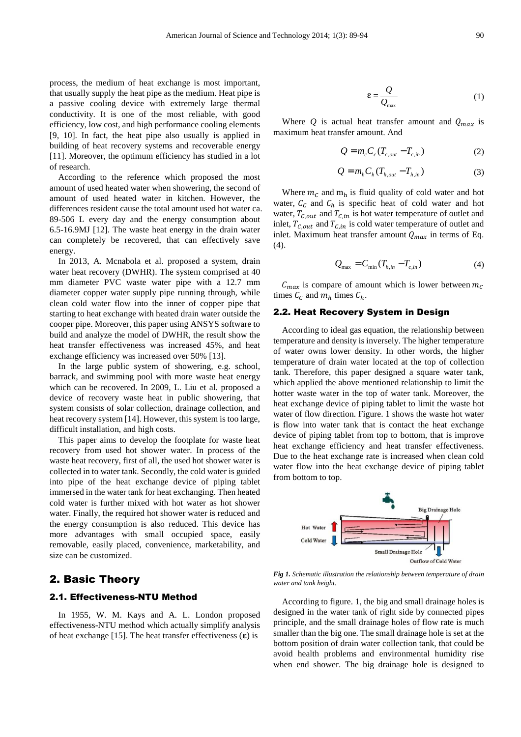process, the medium of heat exchange is most important, that usually supply the heat pipe as the medium. Heat pipe is a passive cooling device with extremely large thermal conductivity. It is one of the most reliable, with good efficiency, low cost, and high performance cooling elements [9, 10]. In fact, the heat pipe also usually is applied in building of heat recovery systems and recoverable energy [11]. Moreover, the optimum efficiency has studied in a lot of research.

According to the reference which proposed the most amount of used heated water when showering, the second of amount of used heated water in kitchen. However, the differences resident cause the total amount used hot water ca. 89-506 L every day and the energy consumption about 6.5-16.9MJ [12]. The waste heat energy in the drain water can completely be recovered, that can effectively save energy.

In 2013, A. Mcnabola et al. proposed a system, drain water heat recovery (DWHR). The system comprised at 40 mm diameter PVC waste water pipe with a 12.7 mm diameter copper water supply pipe running through, while clean cold water flow into the inner of copper pipe that starting to heat exchange with heated drain water outside the cooper pipe. Moreover, this paper using ANSYS software to build and analyze the model of DWHR, the result show the heat transfer effectiveness was increased 45%, and heat exchange efficiency was increased over 50% [13].

In the large public system of showering, e.g. school, barrack, and swimming pool with more waste heat energy which can be recovered. In 2009, L. Liu et al. proposed a device of recovery waste heat in public showering, that system consists of solar collection, drainage collection, and heat recovery system [14]. However, this system is too large, difficult installation, and high costs.

This paper aims to develop the footplate for waste heat recovery from used hot shower water. In process of the waste heat recovery, first of all, the used hot shower water is collected in to water tank. Secondly, the cold water is guided into pipe of the heat exchange device of piping tablet immersed in the water tank for heat exchanging. Then heated cold water is further mixed with hot water as hot shower water. Finally, the required hot shower water is reduced and the energy consumption is also reduced. This device has more advantages with small occupied space, easily removable, easily placed, convenience, marketability, and size can be customized.

## 2. Basic Theory

#### 2.1. Effectiveness-NTU Method

In 1955, W. M. Kays and A. L. London proposed effectiveness-NTU method which actually simplify analysis of heat exchange [15]. The heat transfer effectiveness  $(\epsilon)$  is

$$
\varepsilon = \frac{Q}{Q_{\text{max}}} \tag{1}
$$

Where  $Q$  is actual heat transfer amount and  $Q_{max}$  is maximum heat transfer amount. And

$$
Q = m_c C_c (T_{c,out} - T_{c,in})
$$
 (2)

$$
Q = mh Ch (Th,out - Th,in)
$$
 (3)

Where  $m_c$  and  $m_h$  is fluid quality of cold water and hot water,  $C_c$  and  $C_h$  is specific heat of cold water and hot water,  $T_{C,out}$  and  $T_{C,in}$  is hot water temperature of outlet and inlet,  $T_{c,out}$  and  $T_{c,in}$  is cold water temperature of outlet and inlet. Maximum heat transfer amount  $Q_{max}$  in terms of Eq. (4).

$$
Q_{\text{max}} = C_{\text{min}} (T_{h,in} - T_{c,in}) \tag{4}
$$

 $C_{max}$  is compare of amount which is lower between  $m_c$ times  $C_c$  and  $m_h$  times  $C_h$ .

#### 2.2. Heat Recovery System in Design

According to ideal gas equation, the relationship between temperature and density is inversely. The higher temperature of water owns lower density. In other words, the higher temperature of drain water located at the top of collection tank. Therefore, this paper designed a square water tank, which applied the above mentioned relationship to limit the hotter waste water in the top of water tank. Moreover, the heat exchange device of piping tablet to limit the waste hot water of flow direction. Figure. 1 shows the waste hot water is flow into water tank that is contact the heat exchange device of piping tablet from top to bottom, that is improve heat exchange efficiency and heat transfer effectiveness. Due to the heat exchange rate is increased when clean cold water flow into the heat exchange device of piping tablet from bottom to top.



*Fig 1. Schematic illustration the relationship between temperature of drain water and tank height.* 

According to figure. 1, the big and small drainage holes is designed in the water tank of right side by connected pipes principle, and the small drainage holes of flow rate is much smaller than the big one. The small drainage hole is set at the bottom position of drain water collection tank, that could be avoid health problems and environmental humidity rise when end shower. The big drainage hole is designed to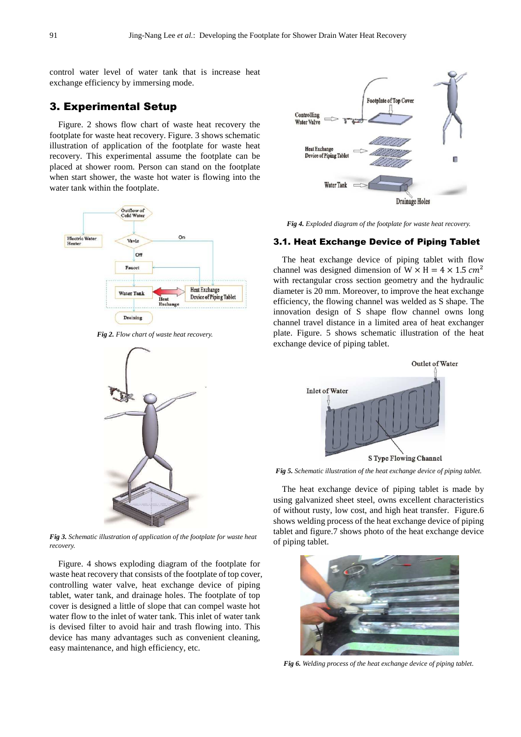control water level of water tank that is increase heat exchange efficiency by immersing mode.

## 3. Experimental Setup

Figure. 2 shows flow chart of waste heat recovery the footplate for waste heat recovery. Figure. 3 shows schematic illustration of application of the footplate for waste heat recovery. This experimental assume the footplate can be placed at shower room. Person can stand on the footplate when start shower, the waste hot water is flowing into the water tank within the footplate.



*Fig 2. Flow chart of waste heat recovery.* 



*Fig 3. Schematic illustration of application of the footplate for waste heat recovery.* 

Figure. 4 shows exploding diagram of the footplate for waste heat recovery that consists of the footplate of top cover, controlling water valve, heat exchange device of piping tablet, water tank, and drainage holes. The footplate of top cover is designed a little of slope that can compel waste hot water flow to the inlet of water tank. This inlet of water tank is devised filter to avoid hair and trash flowing into. This device has many advantages such as convenient cleaning, easy maintenance, and high efficiency, etc.



*Fig 4. Exploded diagram of the footplate for waste heat recovery.* 

#### 3.1. Heat Exchange Device of Piping Tablet

The heat exchange device of piping tablet with flow channel was designed dimension of  $W \times H = 4 \times 1.5$  cm<sup>2</sup> with rectangular cross section geometry and the hydraulic diameter is 20 mm. Moreover, to improve the heat exchange efficiency, the flowing channel was welded as S shape. The innovation design of S shape flow channel owns long channel travel distance in a limited area of heat exchanger plate. Figure. 5 shows schematic illustration of the heat exchange device of piping tablet.



*Fig 5. Schematic illustration of the heat exchange device of piping tablet.* 

The heat exchange device of piping tablet is made by using galvanized sheet steel, owns excellent characteristics of without rusty, low cost, and high heat transfer. Figure.6 shows welding process of the heat exchange device of piping tablet and figure.7 shows photo of the heat exchange device of piping tablet.



*Fig 6. Welding process of the heat exchange device of piping tablet.*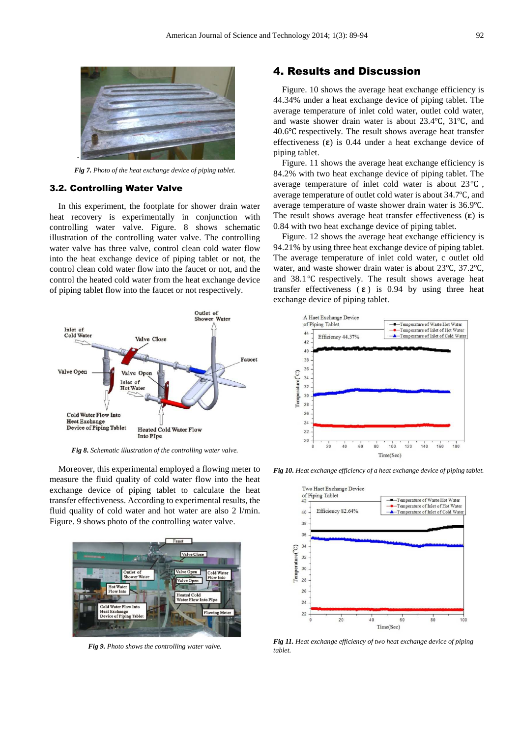

*Fig 7. Photo of the heat exchange device of piping tablet.*

#### 3.2. Controlling Water Valve

In this experiment, the footplate for shower drain water heat recovery is experimentally in conjunction with controlling water valve. Figure. 8 shows schematic illustration of the controlling water valve. The controlling water valve has three valve, control clean cold water flow into the heat exchange device of piping tablet or not, the control clean cold water flow into the faucet or not, and the control the heated cold water from the heat exchange device of piping tablet flow into the faucet or not respectively.



*Fig 8. Schematic illustration of the controlling water valve.* 

Moreover, this experimental employed a flowing meter to measure the fluid quality of cold water flow into the heat exchange device of piping tablet to calculate the heat transfer effectiveness. According to experimental results, the fluid quality of cold water and hot water are also 2 l/min. Figure. 9 shows photo of the controlling water valve.



*Fig 9. Photo shows the controlling water valve.* 

## 4. Results and Discussion

Figure. 10 shows the average heat exchange efficiency is 44.34% under a heat exchange device of piping tablet. The average temperature of inlet cold water, outlet cold water, and waste shower drain water is about 23.4℃, 31℃, and 40.6℃ respectively. The result shows average heat transfer effectiveness  $(\epsilon)$  is 0.44 under a heat exchange device of piping tablet.

Figure. 11 shows the average heat exchange efficiency is 84.2% with two heat exchange device of piping tablet. The average temperature of inlet cold water is about 23℃ , average temperature of outlet cold water is about 34.7℃, and average temperature of waste shower drain water is 36.9℃. The result shows average heat transfer effectiveness  $(\epsilon)$  is 0.84 with two heat exchange device of piping tablet.

Figure. 12 shows the average heat exchange efficiency is 94.21% by using three heat exchange device of piping tablet. The average temperature of inlet cold water, c outlet old water, and waste shower drain water is about 23℃, 37.2℃, and 38.1℃ respectively. The result shows average heat transfer effectiveness  $(\epsilon)$  is 0.94 by using three heat exchange device of piping tablet.



*Fig 10. Heat exchange efficiency of a heat exchange device of piping tablet.* 



*Fig 11. Heat exchange efficiency of two heat exchange device of piping tablet.*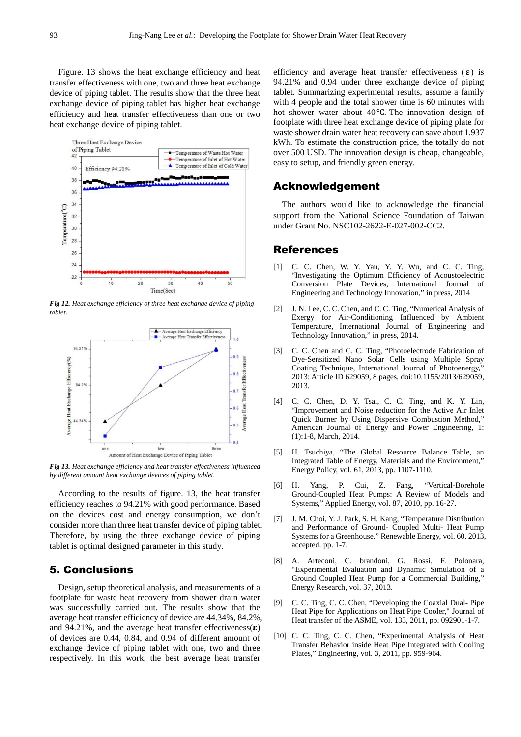Figure. 13 shows the heat exchange efficiency and heat transfer effectiveness with one, two and three heat exchange device of piping tablet. The results show that the three heat exchange device of piping tablet has higher heat exchange efficiency and heat transfer effectiveness than one or two heat exchange device of piping tablet.



*Fig 12. Heat exchange efficiency of three heat exchange device of piping tablet.* 



*Fig 13. Heat exchange efficiency and heat transfer effectiveness influenced by different amount heat exchange devices of piping tablet.* 

According to the results of figure. 13, the heat transfer efficiency reaches to 94.21% with good performance. Based on the devices cost and energy consumption, we don't consider more than three heat transfer device of piping tablet. Therefore, by using the three exchange device of piping tablet is optimal designed parameter in this study.

## 5. Conclusions

Design, setup theoretical analysis, and measurements of a footplate for waste heat recovery from shower drain water was successfully carried out. The results show that the average heat transfer efficiency of device are 44.34%, 84.2%, and 94.21%, and the average heat transfer effectiveness( $\epsilon$ ) of devices are 0.44, 0.84, and 0.94 of different amount of exchange device of piping tablet with one, two and three respectively. In this work, the best average heat transfer

efficiency and average heat transfer effectiveness  $(\epsilon)$  is 94.21% and 0.94 under three exchange device of piping tablet. Summarizing experimental results, assume a family with 4 people and the total shower time is 60 minutes with hot shower water about 40℃. The innovation design of footplate with three heat exchange device of piping plate for waste shower drain water heat recovery can save about 1.937 kWh. To estimate the construction price, the totally do not over 500 USD. The innovation design is cheap, changeable, easy to setup, and friendly green energy.

## Acknowledgement

The authors would like to acknowledge the financial support from the National Science Foundation of Taiwan under Grant No. NSC102-2622-E-027-002-CC2.

### References

- [1] C. C. Chen, W. Y. Yan, Y. Y. Wu, and C. C. Ting, "Investigating the Optimum Efficiency of Acoustoelectric Conversion Plate Devices, International Journal of Engineering and Technology Innovation," in press, 2014
- [2] J. N. Lee, C. C. Chen, and C. C. Ting, "Numerical Analysis of Exergy for Air-Conditioning Influenced by Ambient Temperature, International Journal of Engineering and Technology Innovation," in press, 2014.
- [3] C. C. Chen and C. C. Ting, "Photoelectrode Fabrication of Dye-Sensitized Nano Solar Cells using Multiple Spray Coating Technique, International Journal of Photoenergy, 2013: Article ID 629059, 8 pages, doi:10.1155/2013/629059, 2013.
- [4] C. C. Chen, D. Y. Tsai, C. C. Ting, and K. Y. Lin, "Improvement and Noise reduction for the Active Air Inlet Quick Burner by Using Dispersive Combustion Method," American Journal of Energy and Power Engineering, 1: (1):1-8, March, 2014.
- [5] H. Tsuchiya, "The Global Resource Balance Table, an Integrated Table of Energy, Materials and the Environment," Energy Policy, vol. 61, 2013, pp. 1107-1110.
- [6] H. Yang, P. Cui, Z. Fang, "Vertical-Borehole Ground-Coupled Heat Pumps: A Review of Models and Systems," Applied Energy, vol. 87, 2010, pp. 16-27.
- [7] J. M. Choi, Y. J. Park, S. H. Kang, "Temperature Distribution and Performance of Ground- Coupled Multi- Heat Pump Systems for a Greenhouse," Renewable Energy, vol. 60, 2013, accepted. pp. 1-7.
- [8] A. Arteconi, C. brandoni, G. Rossi, F. Polonara, "Experimental Evaluation and Dynamic Simulation of a Ground Coupled Heat Pump for a Commercial Building," Energy Research, vol. 37, 2013.
- [9] C. C. Ting, C. C. Chen, "Developing the Coaxial Dual- Pipe Heat Pipe for Applications on Heat Pipe Cooler," Journal of Heat transfer of the ASME, vol. 133, 2011, pp. 092901-1-7.
- [10] C. C. Ting, C. C. Chen, "Experimental Analysis of Heat Transfer Behavior inside Heat Pipe Integrated with Cooling Plates," Engineering, vol. 3, 2011, pp. 959-964.